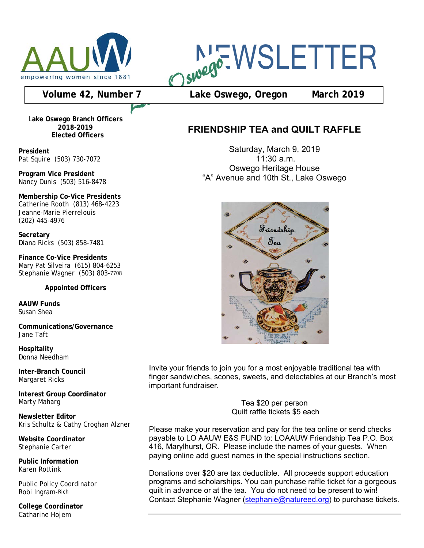

# NEWSLETTER

## **Volume 42, Number 7 Lake Oswego, Oregon March 2019**

L**ake Oswego Branch Officers 2018-2019 Elected Officers**

**President** Pat Squire (503) 730-7072

**Program Vice President** Nancy Dunis (503) 516-8478

**Membership Co-Vice Presidents** Catherine Rooth (813) 468-4223 Jeanne-Marie Pierrelouis (202) 445-4976

**Secretary** Diana Ricks (503) 858-7481

**Finance Co-Vice Presidents** Mary Pat Silveira (615) 804-6253 Stephanie Wagner (503) 803-7708

**Appointed Officers**

**AAUW Funds** Susan Shea

**Communications/Governance** Jane Taft

**Hospitality** Donna Needham

**Inter-Branch Council** Margaret Ricks

**Interest Group Coordinator** Marty Maharg

**Newsletter Editor** Kris Schultz & Cathy Croghan Alzner

**Website Coordinator** Stephanie Carter

**Public Information** Karen Rottink

Public Policy Coordinator Robi Ingram-Rich

**College Coordinator** Catharine Hojem

## **FRIENDSHIP TEA and QUILT RAFFLE**

Saturday, March 9, 2019 11:30 a.m. Oswego Heritage House "A" Avenue and 10th St., Lake Oswego



Invite your friends to join you for a most enjoyable traditional tea with important fundraiser.<br>Important fundraiser. finger sandwiches, scones, sweets, and delectables at our Branch's most finger sandwiches, scones, sweets, and delectables at our Branch's most

Please make your reservation and pay for the tea online , send checks Tea \$20 per person Quilt raffle tickets \$5 each

Please make your reservation and pay for the tea online or send checks payable to LO AAUW E&S FUND to: LOAAUW Friendship Tea P.O. Box 116, Marylhurst, OR. Please include the names of your guests. When paying online add guest names in the special instructions section.

Donations over \$20 are tax deductible. All proceeds support education Donations over \$20 are tax deductible. All proceeds support education programs and scholarships. You can purchase raffle ticket for a gorgeous programs and scholarships. You can purchase raffle ticket for a gorgeous quilt in advance or at the tea. You do not need to be present to win! quilt in advance or at the tea. You do not need to be present to win! Contact Stephanie Wagner (stephanie@natureed.org) to purchase tickets. Contact Stephanie Wagner (stephanie@natureed.org) to purchase tickets.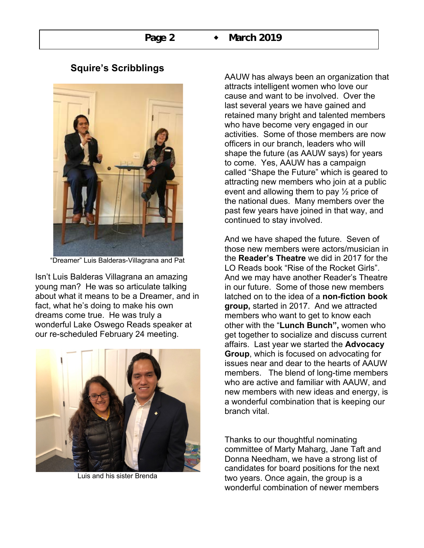

## **Squire's Scribblings**

"Dreamer" Luis Balderas-Villagrana and Pat

Isn't Luis Balderas Villagrana an amazing young man? He was so articulate talking about what it means to be a Dreamer, and in fact, what he's doing to make his own dreams come true. He was truly a wonderful Lake Oswego Reads speaker at our re-scheduled February 24 meeting.



Luis and his sister Brenda

AAUW has always been an organization that attracts intelligent women who love our cause and want to be involved. Over the last several years we have gained and retained many bright and talented members who have become very engaged in our activities. Some of those members are now officers in our branch, leaders who will shape the future (as AAUW says) for years to come. Yes, AAUW has a campaign called "Shape the Future" which is geared to attracting new members who join at a public event and allowing them to pay  $\frac{1}{2}$  price of the national dues. Many members over the past few years have joined in that way, and continued to stay involved.

And we have shaped the future. Seven of those new members were actors/musician in the **Reader's Theatre** we did in 2017 for the LO Reads book "Rise of the Rocket Girls". And we may have another Reader's Theatre in our future. Some of those new members latched on to the idea of a **non-fiction book group,** started in 2017. And we attracted members who want to get to know each other with the "**Lunch Bunch",** women who get together to socialize and discuss current affairs. Last year we started the **Advocacy Group**, which is focused on advocating for issues near and dear to the hearts of AAUW members. The blend of long-time members who are active and familiar with AAUW, and new members with new ideas and energy, is a wonderful combination that is keeping our branch vital.

Thanks to our thoughtful nominating committee of Marty Maharg, Jane Taft and Donna Needham, we have a strong list of candidates for board positions for the next two years. Once again, the group is a wonderful combination of newer members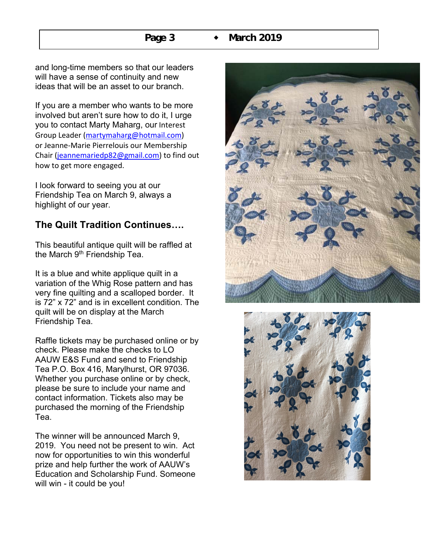and long-time members so that our leaders will have a sense of continuity and new ideas that will be an asset to our branch.

If you are a member who wants to be more involved but aren't sure how to do it, I urge you to contact Marty Maharg, our Interest Group Leader (martymaharg@hotmail.com) or Jeanne-Marie Pierrelouis our Membership Chair (jeannemariedp82@gmail.com) to find out how to get more engaged.

I look forward to seeing you at our Friendship Tea on March 9, always a highlight of our year.

## **The Quilt Tradition Continues….**

This beautiful antique quilt will be raffled at the March 9<sup>th</sup> Friendship Tea.

It is a blue and white applique quilt in a variation of the Whig Rose pattern and has very fine quilting and a scalloped border. It is 72" x 72" and is in excellent condition. The quilt will be on display at the March Friendship Tea.

Raffle tickets may be purchased online or by check. Please make the checks to LO AAUW E&S Fund and send to Friendship Tea P.O. Box 416, Marylhurst, OR 97036. Whether you purchase online or by check, please be sure to include your name and contact information. Tickets also may be purchased the morning of the Friendship Tea.

The winner will be announced March 9, 2019. You need not be present to win. Act now for opportunities to win this wonderful prize and help further the work of AAUW's Education and Scholarship Fund. Someone will win - it could be you!



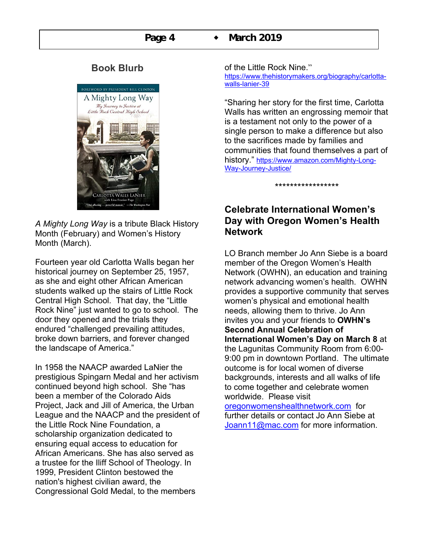## **Book Blurb**



*A Mighty Long Way* is a tribute Black History Month (February) and Women's History Month (March).

Fourteen year old Carlotta Walls began her historical journey on September 25, 1957, as she and eight other African American students walked up the stairs of Little Rock Central High School. That day, the "Little Rock Nine" just wanted to go to school. The door they opened and the trials they endured "challenged prevailing attitudes, broke down barriers, and forever changed the landscape of America."

In 1958 the NAACP awarded LaNier the prestigious Spingarn Medal and her activism continued beyond high school. She "has been a member of the Colorado Aids Project, Jack and Jill of America, the Urban League and the NAACP and the president of the Little Rock Nine Foundation, a scholarship organization dedicated to ensuring equal access to education for African Americans. She has also served as a trustee for the Iliff School of Theology. In 1999, President Clinton bestowed the nation's highest civilian award, the Congressional Gold Medal, to the members

#### of the Little Rock Nine."

https://www.thehistorymakers.org/biography/carlottawalls-lanier-39

"Sharing her story for the first time, Carlotta Walls has written an engrossing memoir that is a testament not only to the power of a single person to make a difference but also to the sacrifices made by families and communities that found themselves a part of history." https://www.amazon.com/Mighty-Long-Way-Journey-Justice/

\*\*\*\*\*\*\*\*\*\*\*\*\*\*\*\*\*

## **Celebrate International Women's Day with Oregon Women's Health Network**

LO Branch member Jo Ann Siebe is a board member of the Oregon Women's Health Network (OWHN), an education and training network advancing women's health. OWHN provides a supportive community that serves women's physical and emotional health needs, allowing them to thrive. Jo Ann invites you and your friends to **OWHN's Second Annual Celebration of International Women's Day on March 8** at the Lagunitas Community Room from 6:00- 9:00 pm in downtown Portland. The ultimate outcome is for local women of diverse backgrounds, interests and all walks of life to come together and celebrate women worldwide. Please visit oregonwomenshealthnetwork.com for

further details or contact Jo Ann Siebe at Joann11@mac.com for more information.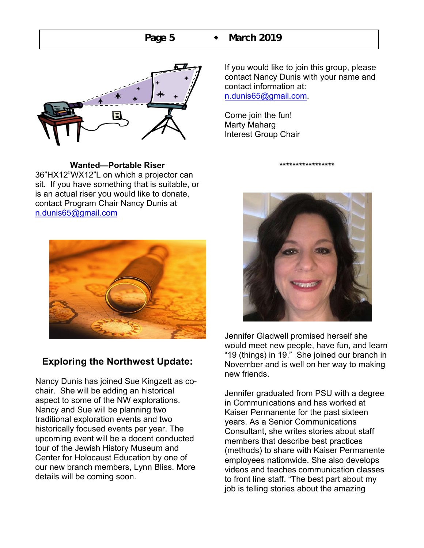**Page 5**  $\bullet$  March 2019



**Wanted—Portable Riser** 36"HX12"WX12"L on which a projector can

sit. If you have something that is suitable, or is an actual riser you would like to donate, contact Program Chair Nancy Dunis at n.dunis65@gmail.com



## **Exploring the Northwest Update:**

Nancy Dunis has joined Sue Kingzett as cochair. She will be adding an historical aspect to some of the NW explorations. Nancy and Sue will be planning two traditional exploration events and two historically focused events per year. The upcoming event will be a docent conducted tour of the Jewish History Museum and Center for Holocaust Education by one of our new branch members, Lynn Bliss. More details will be coming soon.

If you would like to join this group, please contact Nancy Dunis with your name and contact information at: n.dunis65@gmail.com.

Come join the fun! Marty Maharg Interest Group Chair



\*\*\*\*\*\*\*\*\*\*\*\*\*\*\*\*\*

Jennifer Gladwell promised herself she would meet new people, have fun, and learn "19 (things) in 19." She joined our branch in November and is well on her way to making new friends.

Jennifer graduated from PSU with a degree in Communications and has worked at Kaiser Permanente for the past sixteen years. As a Senior Communications Consultant, she writes stories about staff members that describe best practices (methods) to share with Kaiser Permanente employees nationwide. She also develops videos and teaches communication classes to front line staff. "The best part about my job is telling stories about the amazing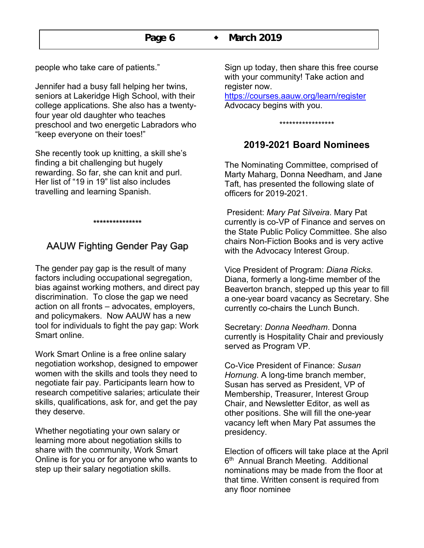people who take care of patients."

Jennifer had a busy fall helping her twins, seniors at Lakeridge High School, with their college applications. She also has a twentyfour year old daughter who teaches preschool and two energetic Labradors who "keep everyone on their toes!"

She recently took up knitting, a skill she's finding a bit challenging but hugely rewarding. So far, she can knit and purl. Her list of "19 in 19" list also includes travelling and learning Spanish.

## AAUW Fighting Gender Pay Gap

\*\*\*\*\*\*\*\*\*\*\*\*\*\*\*

The gender pay gap is the result of many factors including occupational segregation, bias against working mothers, and direct pay discrimination. To close the gap we need action on all fronts – advocates, employers, and policymakers. Now AAUW has a new tool for individuals to fight the pay gap: Work Smart online.

Work Smart Online is a free online salary negotiation workshop, designed to empower women with the skills and tools they need to negotiate fair pay. Participants learn how to research competitive salaries; articulate their skills, qualifications, ask for, and get the pay they deserve.

Whether negotiating your own salary or learning more about negotiation skills to share with the community, Work Smart Online is for you or for anyone who wants to step up their salary negotiation skills.

Sign up today, then share this free course with your community! Take action and register now.

https://courses.aauw.org/learn/register Advocacy begins with you.

#### \*\*\*\*\*\*\*\*\*\*\*\*\*\*\*\*\*

## **2019-2021 Board Nominees**

The Nominating Committee, comprised of Marty Maharg, Donna Needham, and Jane Taft, has presented the following slate of officers for 2019-2021.

President: *Mary Pat Silveira*. Mary Pat currently is co-VP of Finance and serves on the State Public Policy Committee. She also chairs Non-Fiction Books and is very active with the Advocacy Interest Group.

Vice President of Program: *Diana Ricks*. Diana, formerly a long-time member of the Beaverton branch, stepped up this year to fill a one-year board vacancy as Secretary. She currently co-chairs the Lunch Bunch.

Secretary: *Donna Needham*. Donna currently is Hospitality Chair and previously served as Program VP.

Co-Vice President of Finance: *Susan Hornung*. A long-time branch member, Susan has served as President, VP of Membership, Treasurer, Interest Group Chair, and Newsletter Editor, as well as other positions. She will fill the one-year vacancy left when Mary Pat assumes the presidency.

Election of officers will take place at the April 6<sup>th</sup> Annual Branch Meeting. Additional nominations may be made from the floor at that time. Written consent is required from any floor nominee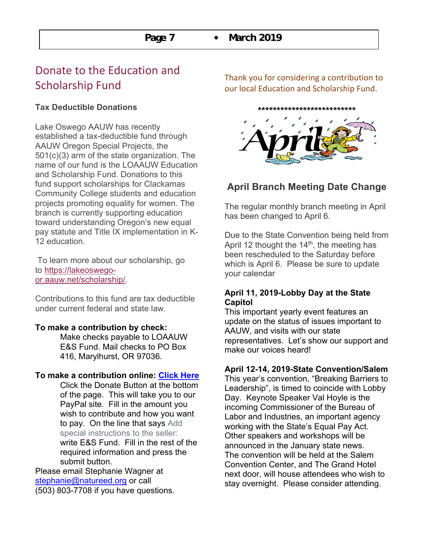# Donate to the Education and Scholarship Fund

## **Tax Deductible Donations**

Lake Oswego AAUW has recently established a tax-deductible fund through AAUW Oregon Special Projects, the 501(c)(3) arm of the state organization. The name of our fund is the LOAAUW Education and Scholarship Fund. Donations to this fund support scholarships for Clackamas Community College students and education projects promoting equality for women. The branch is currently supporting education toward understanding Oregon's new equal pay statute and Title IX implementation in K-12 education.

To learn more about our scholarship, go to https://lakeoswegoor.aauw.net/scholarship/.

Contributions to this fund are tax deductible under current federal and state law.

#### **To make a contribution by check:**

Make checks payable to LOAAUW E&S Fund. Mail checks to PO Box 416, Marylhurst, OR 97036.

#### **To make a contribution online: Click Here**

Click the Donate Button at the bottom of the page. This will take you to our PayPal site. Fill in the amount you wish to contribute and how you want to pay. On the line that says Add special instructions to the seller: write E&S Fund. Fill in the rest of the required information and press the submit button.

Please email Stephanie Wagner at stephanie@natureed.org or call (503) 803-7708 if you have questions. Thank you for considering a contribution to our local Education and Scholarship Fund.

**\*\*\*\*\*\*\*\*\*\*\*\*\*\*\*\*\*\*\*\*\*\*\*\*\*\***



## **April Branch Meeting Date Change**

The regular monthly branch meeting in April has been changed to April 6.

Due to the State Convention being held from April 12 thought the  $14<sup>th</sup>$ , the meeting has been rescheduled to the Saturday before which is April 6. Please be sure to update your calendar

#### **April 11, 2019-Lobby Day at the State Capitol**

This important yearly event features an update on the status of issues important to AAUW, and visits with our state representatives. Let's show our support and make our voices heard!

#### **April 12-14, 2019-State Convention/Salem**

This year's convention, "Breaking Barriers to Leadership", is timed to coincide with Lobby Day. Keynote Speaker Val Hoyle is the incoming Commissioner of the Bureau of Labor and Industries, an important agency working with the State's Equal Pay Act. Other speakers and workshops will be announced in the January state news. The convention will be held at the Salem Convention Center, and The Grand Hotel next door, will house attendees who wish to stay overnight. Please consider attending.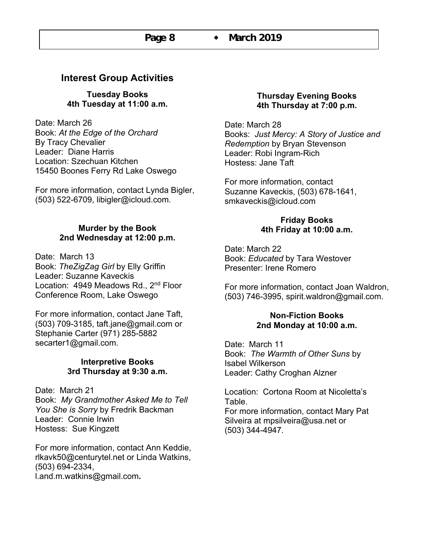## **Interest Group Activities**

**Tuesday Books 4th Tuesday at 11:00 a.m.**

Date: March 26 Book: *At the Edge of the Orchard* By Tracy Chevalier Leader: Diane Harris Location: Szechuan Kitchen 15450 Boones Ferry Rd Lake Oswego

For more information, contact Lynda Bigler, (503) 522-6709, libigler@icloud.com.

## **Murder by the Book 2nd Wednesday at 12:00 p.m.**

Date: March 13 Book: *TheZigZag Girl* by Elly Griffin Leader: Suzanne Kaveckis Location: 4949 Meadows Rd., 2<sup>nd</sup> Floor Conference Room, Lake Oswego

For more information, contact Jane Taft, (503) 709-3185, taft.jane@gmail.com or Stephanie Carter (971) 285-5882 secarter1@gmail.com.

#### **Interpretive Books 3rd Thursday at 9:30 a.m.**

Date: March 21 Book: *My Grandmother Asked Me to Tell You She is Sorry* by Fredrik Backman Leader: Connie Irwin Hostess: Sue Kingzett

For more information, contact Ann Keddie, rlkavk50@centurytel.net or Linda Watkins, (503) 694-2334, l.and.m.watkins@gmail.com**.** 

#### **Thursday Evening Books 4th Thursday at 7:00 p.m.**

Date: March 28 Books: *Just Mercy: A Story of Justice and Redemption* by Bryan Stevenson Leader: Robi Ingram-Rich Hostess: Jane Taft

For more information, contact Suzanne Kaveckis, (503) 678-1641, smkaveckis@icloud.com

#### **Friday Books 4th Friday at 10:00 a.m.**

Date: March 22 Book: *Educated* by Tara Westover Presenter: Irene Romero

For more information, contact Joan Waldron, (503) 746-3995, spirit.waldron@gmail.com.

#### **Non-Fiction Books 2nd Monday at 10:00 a.m.**

Date: March 11 Book: *The Warmth of Other Suns* by Isabel Wilkerson Leader: Cathy Croghan Alzner

Location: Cortona Room at Nicoletta's Table. For more information, contact Mary Pat Silveira at mpsilveira@usa.net or (503) 344-4947.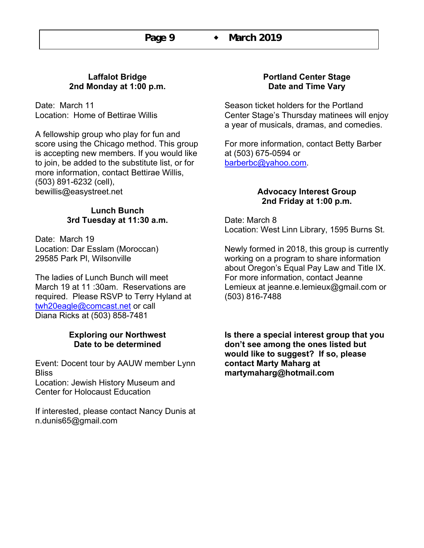## **Laffalot Bridge 2nd Monday at 1:00 p.m.**

Date: March 11 Location: Home of Bettirae Willis

A fellowship group who play for fun and score using the Chicago method. This group is accepting new members. If you would like to join, be added to the substitute list, or for more information, contact Bettirae Willis, (503) 891-6232 (cell), bewillis@easystreet.net

## **Lunch Bunch 3rd Tuesday at 11:30 a.m.**

Date: March 19 Location: Dar Esslam (Moroccan) 29585 Park Pl, Wilsonville

The ladies of Lunch Bunch will meet March 19 at 11 :30am. Reservations are required. Please RSVP to Terry Hyland at twh20eagle@comcast.net or call Diana Ricks at (503) 858-7481

## **Exploring our Northwest Date to be determined**

Event: Docent tour by AAUW member Lynn **Bliss** Location: Jewish History Museum and Center for Holocaust Education

If interested, please contact Nancy Dunis at n.dunis65@gmail.com

## **Portland Center Stage Date and Time Vary**

Season ticket holders for the Portland Center Stage's Thursday matinees will enjoy a year of musicals, dramas, and comedies.

For more information, contact Betty Barber at (503) 675-0594 or barberbc@yahoo.com.

#### **Advocacy Interest Group 2nd Friday at 1:00 p.m.**

Date: March 8 Location: West Linn Library, 1595 Burns St.

Newly formed in 2018, this group is currently working on a program to share information about Oregon's Equal Pay Law and Title IX. For more information, contact Jeanne Lemieux at jeanne.e.lemieux@gmail.com or (503) 816-7488

**Is there a special interest group that you don't see among the ones listed but would like to suggest? If so, please contact Marty Maharg at martymaharg@hotmail.com**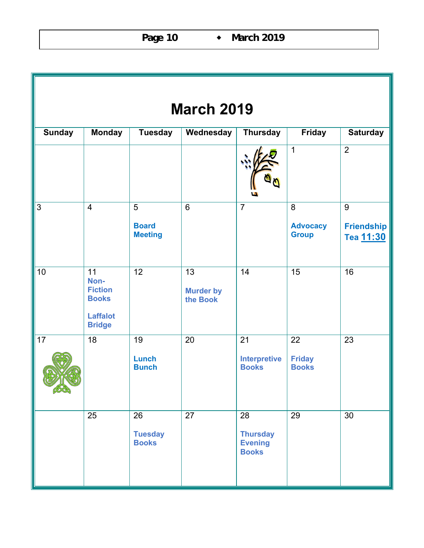| <b>March 2019</b> |                                                                                  |                                                  |                                    |                                                         |                                      |                                     |  |  |  |  |  |
|-------------------|----------------------------------------------------------------------------------|--------------------------------------------------|------------------------------------|---------------------------------------------------------|--------------------------------------|-------------------------------------|--|--|--|--|--|
| <b>Sunday</b>     | <b>Monday</b>                                                                    | <b>Tuesday</b>                                   | Wednesday                          | <b>Thursday</b>                                         | <b>Friday</b>                        | <b>Saturday</b>                     |  |  |  |  |  |
|                   |                                                                                  |                                                  |                                    |                                                         | 1                                    | $\overline{2}$                      |  |  |  |  |  |
| $\overline{3}$    | $\overline{4}$                                                                   | $\overline{5}$<br><b>Board</b><br><b>Meeting</b> | $6\phantom{1}$                     | $\overline{7}$                                          | 8<br><b>Advocacy</b><br><b>Group</b> | 9<br><b>Friendship</b><br>Tea 11:30 |  |  |  |  |  |
| 10                | 11<br>Non-<br><b>Fiction</b><br><b>Books</b><br><b>Laffalot</b><br><b>Bridge</b> | $\overline{12}$                                  | 13<br><b>Murder by</b><br>the Book | 14                                                      | 15                                   | 16                                  |  |  |  |  |  |
| 17<br>6500        | 18                                                                               | 19<br><b>Lunch</b><br><b>Bunch</b>               | 20                                 | 21<br><b>Interpretive</b><br><b>Books</b>               | 22<br><b>Friday</b><br><b>Books</b>  | 23                                  |  |  |  |  |  |
|                   | 25                                                                               | 26<br><b>Tuesday</b><br><b>Books</b>             | 27                                 | 28<br><b>Thursday</b><br><b>Evening</b><br><b>Books</b> | 29                                   | 30                                  |  |  |  |  |  |